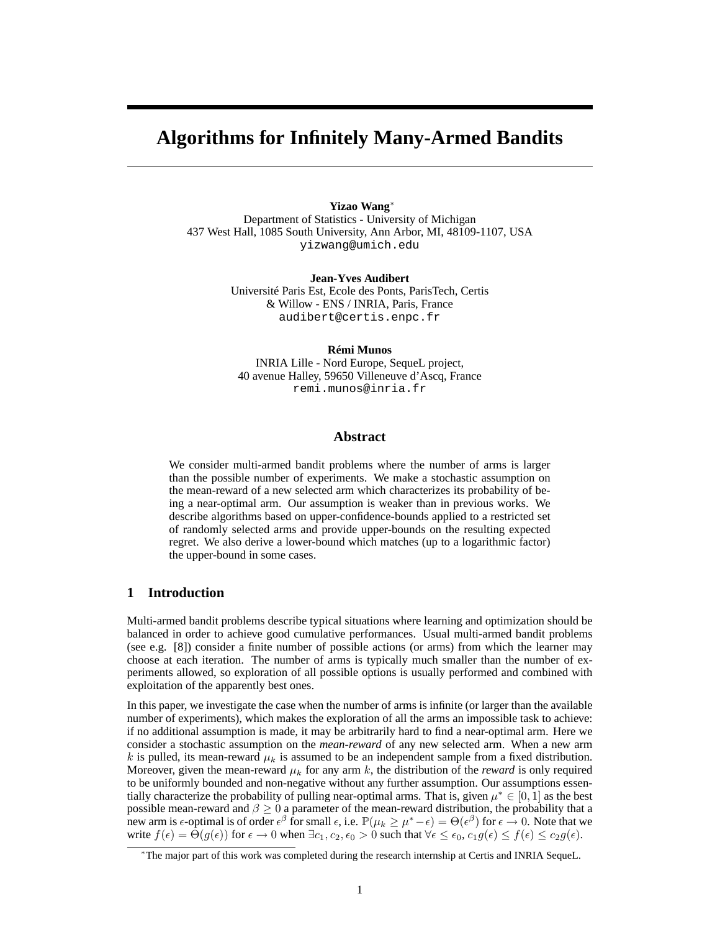# **Algorithms for Infinitely Many-Armed Bandits**

**Yizao Wang**<sup>∗</sup> Department of Statistics - University of Michigan 437 West Hall, 1085 South University, Ann Arbor, MI, 48109-1107, USA yizwang@umich.edu

> **Jean-Yves Audibert** Université Paris Est, Ecole des Ponts, ParisTech, Certis & Willow - ENS / INRIA, Paris, France audibert@certis.enpc.fr

#### **Rémi Munos**

INRIA Lille - Nord Europe, SequeL project, 40 avenue Halley, 59650 Villeneuve d'Ascq, France remi.munos@inria.fr

# **Abstract**

We consider multi-armed bandit problems where the number of arms is larger than the possible number of experiments. We make a stochastic assumption on the mean-reward of a new selected arm which characterizes its probability of being a near-optimal arm. Our assumption is weaker than in previous works. We describe algorithms based on upper-confidence-bounds applied to a restricted set of randomly selected arms and provide upper-bounds on the resulting expected regret. We also derive a lower-bound which matches (up to a logarithmic factor) the upper-bound in some cases.

# **1 Introduction**

Multi-armed bandit problems describe typical situations where learning and optimization should be balanced in order to achieve good cumulative performances. Usual multi-armed bandit problems (see e.g. [8]) consider a finite number of possible actions (or arms) from which the learner may choose at each iteration. The number of arms is typically much smaller than the number of experiments allowed, so exploration of all possible options is usually performed and combined with exploitation of the apparently best ones.

In this paper, we investigate the case when the number of arms is infinite (or larger than the available number of experiments), which makes the exploration of all the arms an impossible task to achieve: if no additional assumption is made, it may be arbitrarily hard to find a near-optimal arm. Here we consider a stochastic assumption on the *mean-reward* of any new selected arm. When a new arm k is pulled, its mean-reward  $\mu_k$  is assumed to be an independent sample from a fixed distribution. Moreover, given the mean-reward  $\mu_k$  for any arm k, the distribution of the *reward* is only required to be uniformly bounded and non-negative without any further assumption. Our assumptions essentially characterize the probability of pulling near-optimal arms. That is, given  $\mu^* \in [0, 1]$  as the best possible mean-reward and  $\beta \geq 0$  a parameter of the mean-reward distribution, the probability that a new arm is  $\epsilon$ -optimal is of order  $\epsilon^\beta$  for small  $\epsilon$ , i.e.  $\mathbb{P}(\mu_k \ge \mu^*-\epsilon) = \Theta(\epsilon^\beta)$  for  $\epsilon \to 0$ . Note that we write  $f(\epsilon) = \Theta(g(\epsilon))$  for  $\epsilon \to 0$  when  $\exists c_1, c_2, \epsilon_0 > 0$  such that  $\forall \epsilon \leq \epsilon_0, c_1 g(\epsilon) \leq f(\epsilon) \leq c_2 g(\epsilon)$ .

<sup>∗</sup>The major part of this work was completed during the research internship at Certis and INRIA SequeL.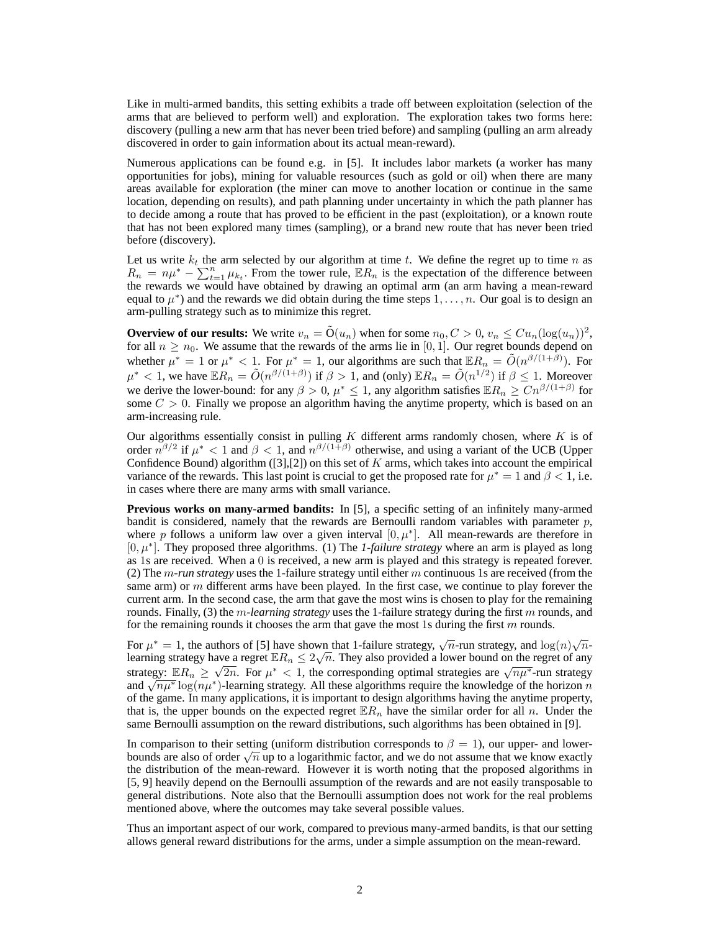Like in multi-armed bandits, this setting exhibits a trade off between exploitation (selection of the arms that are believed to perform well) and exploration. The exploration takes two forms here: discovery (pulling a new arm that has never been tried before) and sampling (pulling an arm already discovered in order to gain information about its actual mean-reward).

Numerous applications can be found e.g. in [5]. It includes labor markets (a worker has many opportunities for jobs), mining for valuable resources (such as gold or oil) when there are many areas available for exploration (the miner can move to another location or continue in the same location, depending on results), and path planning under uncertainty in which the path planner has to decide among a route that has proved to be efficient in the past (exploitation), or a known route that has not been explored many times (sampling), or a brand new route that has never been tried before (discovery).

Let us write  $k_t$  the arm selected by our algorithm at time t. We define the regret up to time n as  $R_n = n\mu^* - \sum_{t=1}^n \mu_{k_t}$ . From the tower rule,  $\mathbb{E}R_n$  is the expectation of the difference between the rewards we would have obtained by drawing an optimal arm (an arm having a mean-reward equal to  $\mu^*$ ) and the rewards we did obtain during the time steps  $1, \ldots, n$ . Our goal is to design an arm-pulling strategy such as to minimize this regret.

**Overview of our results:** We write  $v_n = \tilde{O}(u_n)$  when for some  $n_0, C > 0, v_n \leq Cu_n(\log(u_n))^2$ , for all  $n \geq n_0$ . We assume that the rewards of the arms lie in [0, 1]. Our regret bounds depend on whether  $\mu^* = 1$  or  $\mu^* < 1$ . For  $\mu^* = 1$ , our algorithms are such that  $\mathbb{E}R_n = \tilde{O}(n^{\beta/(1+\beta)})$ . For  $\mu^* < 1$ , we have  $\mathbb{E}R_n = \tilde{O}(n^{\beta/(1+\beta)})$  if  $\beta > 1$ , and (only)  $\mathbb{E}R_n = \tilde{O}(n^{1/2})$  if  $\beta \leq 1$ . Moreover we derive the lower-bound: for any  $\beta > 0$ ,  $\mu^* \le 1$ , any algorithm satisfies  $\mathbb{E}R_n \ge Cn^{\beta/(1+\beta)}$  for some  $C > 0$ . Finally we propose an algorithm having the anytime property, which is based on an arm-increasing rule.

Our algorithms essentially consist in pulling  $K$  different arms randomly chosen, where  $K$  is of order  $n^{\beta/2}$  if  $\mu^*$  < 1 and  $\beta$  < 1, and  $n^{\beta/(1+\beta)}$  otherwise, and using a variant of the UCB (Upper Confidence Bound) algorithm ([3],[2]) on this set of  $K$  arms, which takes into account the empirical variance of the rewards. This last point is crucial to get the proposed rate for  $\mu^* = 1$  and  $\beta < 1$ , i.e. in cases where there are many arms with small variance.

**Previous works on many-armed bandits:** In [5], a specific setting of an infinitely many-armed bandit is considered, namely that the rewards are Bernoulli random variables with parameter  $p$ , where p follows a uniform law over a given interval  $[0, \mu^*]$ . All mean-rewards are therefore in [0, µ<sup>∗</sup> ]. They proposed three algorithms. (1) The *1-failure strategy* where an arm is played as long as 1s are received. When a 0 is received, a new arm is played and this strategy is repeated forever. (2) The m*-run strategy* uses the 1-failure strategy until either m continuous 1s are received (from the same arm) or m different arms have been played. In the first case, we continue to play forever the current arm. In the second case, the arm that gave the most wins is chosen to play for the remaining rounds. Finally, (3) the m*-learning strategy* uses the 1-failure strategy during the first m rounds, and for the remaining rounds it chooses the arm that gave the most 1s during the first  $m$  rounds.

For  $\mu^* = 1$ , the authors of [5] have shown that 1-failure strategy,  $\sqrt{n}$ -run strategy, and  $\log(n)\sqrt{n}$ learning strategy have a regret  $\mathbb{E}R_n \leq 2\sqrt{n}$ . They also provided a lower bound on the regret of any strategy:  $\mathbb{E}R_n \geq \sqrt{2n}$ . For  $\mu^* < 1$ , the corresponding optimal strategies are  $\sqrt{n\mu^*}$ -run strategy and  $\sqrt{n\mu^*} \log(n\mu^*)$ -learning strategy. All these algorithms require the knowledge of the horizon n of the game. In many applications, it is important to design algorithms having the anytime property, that is, the upper bounds on the expected regret  $\mathbb{E}R_n$  have the similar order for all n. Under the same Bernoulli assumption on the reward distributions, such algorithms has been obtained in [9].

In comparison to their setting (uniform distribution corresponds to  $\beta = 1$ ), our upper- and lowerbounds are also of order  $\sqrt{n}$  up to a logarithmic factor, and we do not assume that we know exactly the distribution of the mean-reward. However it is worth noting that the proposed algorithms in [5, 9] heavily depend on the Bernoulli assumption of the rewards and are not easily transposable to general distributions. Note also that the Bernoulli assumption does not work for the real problems mentioned above, where the outcomes may take several possible values.

Thus an important aspect of our work, compared to previous many-armed bandits, is that our setting allows general reward distributions for the arms, under a simple assumption on the mean-reward.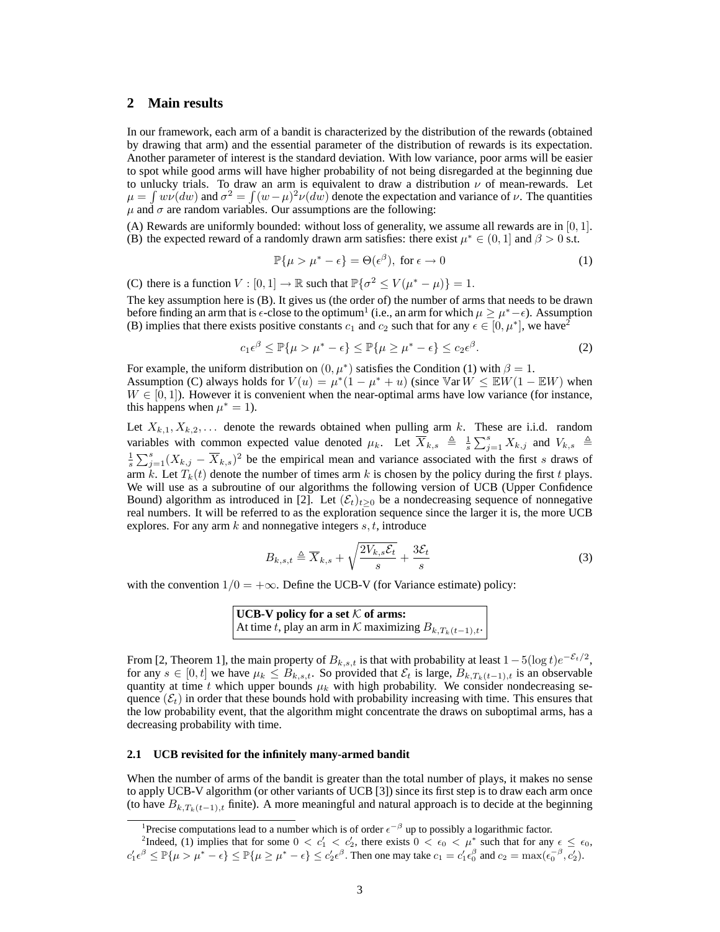# **2 Main results**

In our framework, each arm of a bandit is characterized by the distribution of the rewards (obtained by drawing that arm) and the essential parameter of the distribution of rewards is its expectation. Another parameter of interest is the standard deviation. With low variance, poor arms will be easier to spot while good arms will have higher probability of not being disregarded at the beginning due to unlucky trials. To draw an arm is equivalent to draw a distribution  $\nu$  of mean-rewards. Let  $\mu = \int w\nu(dw)$  and  $\sigma^2 = \int (w - \mu)^2 \nu(dw)$  denote the expectation and variance of  $\nu$ . The quantities  $\mu$  and  $\sigma$  are random variables. Our assumptions are the following:

(A) Rewards are uniformly bounded: without loss of generality, we assume all rewards are in  $[0, 1]$ . (B) the expected reward of a randomly drawn arm satisfies: there exist  $\mu^* \in (0, 1]$  and  $\beta > 0$  s.t.

$$
\mathbb{P}\{\mu > \mu^* - \epsilon\} = \Theta(\epsilon^{\beta}), \text{ for } \epsilon \to 0
$$
 (1)

(C) there is a function  $V : [0, 1] \to \mathbb{R}$  such that  $\mathbb{P}\{\sigma^2 \le V(\mu^* - \mu)\} = 1$ .

The key assumption here is (B). It gives us (the order of) the number of arms that needs to be drawn before finding an arm that is  $\epsilon$ -close to the optimum<sup>1</sup> (i.e., an arm for which  $\mu \geq \mu^*-\epsilon$ ). Assumption (B) implies that there exists positive constants  $c_1$  and  $c_2$  such that for any  $\epsilon \in [0, \mu^*]$ , we have<sup>2</sup>

$$
c_1 \epsilon^{\beta} \le \mathbb{P}\{\mu > \mu^* - \epsilon\} \le \mathbb{P}\{\mu \ge \mu^* - \epsilon\} \le c_2 \epsilon^{\beta}.
$$
 (2)

For example, the uniform distribution on  $(0, \mu^*)$  satisfies the Condition (1) with  $\beta = 1$ . Assumption (C) always holds for  $V(u) = \mu^*(1 - \mu^* + u)$  (since  $\mathbb{V}ar W \leq \mathbb{E}W(1 - \mathbb{E}W)$  when  $W \in [0, 1]$ ). However it is convenient when the near-optimal arms have low variance (for instance, this happens when  $\mu^* = 1$ ).

Let  $X_{k,1}, X_{k,2}, \ldots$  denote the rewards obtained when pulling arm k. These are i.i.d. random variables with common expected value denoted  $\mu_k$ . Let  $\overline{X}_{k,s} \triangleq \frac{1}{s} \sum_{j=1}^s X_{k,j}$  and  $V_{k,s} \triangleq$  $\frac{1}{s}\sum_{j=1}^{s}(X_{k,j}-\overline{X}_{k,s})^2$  be the empirical mean and variance associated with the first s draws of arm k. Let  $T_k(t)$  denote the number of times arm k is chosen by the policy during the first t plays. We will use as a subroutine of our algorithms the following version of UCB (Upper Confidence Bound) algorithm as introduced in [2]. Let  $(\mathcal{E}_t)_{t>0}$  be a nondecreasing sequence of nonnegative real numbers. It will be referred to as the exploration sequence since the larger it is, the more UCB explores. For any arm  $k$  and nonnegative integers  $s, t$ , introduce

$$
B_{k,s,t} \triangleq \overline{X}_{k,s} + \sqrt{\frac{2V_{k,s}\mathcal{E}_t}{s}} + \frac{3\mathcal{E}_t}{s}
$$
 (3)

with the convention  $1/0 = +\infty$ . Define the UCB-V (for Variance estimate) policy:

**UCB-V** policy for a set  $K$  of arms: At time t, play an arm in K maximizing  $B_{k,T_k(t-1),t}$ .

From [2, Theorem 1], the main property of  $B_{k,s,t}$  is that with probability at least  $1 - 5(\log t)e^{-\mathcal{E}_t/2}$ , for any  $s \in [0, t]$  we have  $\mu_k \leq B_{k,s,t}$ . So provided that  $\mathcal{E}_t$  is large,  $B_{k,T_k(t-1),t}$  is an observable quantity at time t which upper bounds  $\mu_k$  with high probability. We consider nondecreasing sequence  $(\mathcal{E}_t)$  in order that these bounds hold with probability increasing with time. This ensures that the low probability event, that the algorithm might concentrate the draws on suboptimal arms, has a decreasing probability with time.

#### **2.1 UCB revisited for the infinitely many-armed bandit**

When the number of arms of the bandit is greater than the total number of plays, it makes no sense to apply UCB-V algorithm (or other variants of UCB [3]) since its first step is to draw each arm once (to have  $B_{k,T_k(t-1),t}$  finite). A more meaningful and natural approach is to decide at the beginning

<sup>&</sup>lt;sup>1</sup>Precise computations lead to a number which is of order  $\epsilon^{-\beta}$  up to possibly a logarithmic factor.

<sup>&</sup>lt;sup>2</sup>Indeed, (1) implies that for some  $0 < c'_1 < c'_2$ , there exists  $0 < \epsilon_0 < \mu^*$  such that for any  $\epsilon \leq \epsilon_0$ ,  $c'_1 \epsilon^{\beta} \le \mathbb{P}\{\mu > \mu^* - \epsilon\} \le \mathbb{P}\{\mu \ge \mu^* - \epsilon\} \le c'_2 \epsilon^{\beta}$ . Then one may take  $c_1 = c'_1 \epsilon_0^{\beta}$  and  $c_2 = \max(\epsilon_0^{-\beta}, \epsilon'_2)$ .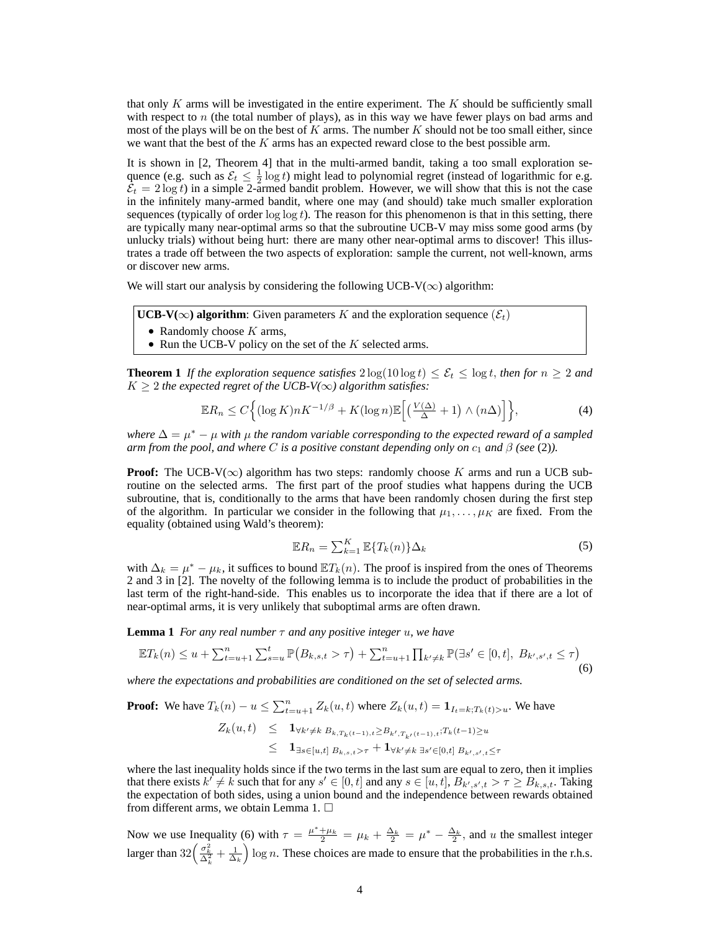that only  $K$  arms will be investigated in the entire experiment. The  $K$  should be sufficiently small with respect to  $n$  (the total number of plays), as in this way we have fewer plays on bad arms and most of the plays will be on the best of  $K$  arms. The number  $K$  should not be too small either, since we want that the best of the  $K$  arms has an expected reward close to the best possible arm.

It is shown in [2, Theorem 4] that in the multi-armed bandit, taking a too small exploration sequence (e.g. such as  $\mathcal{E}_t \leq \frac{1}{2} \log t$ ) might lead to polynomial regret (instead of logarithmic for e.g.  $\bar{\mathcal{E}}_t = 2 \log t$ ) in a simple 2-armed bandit problem. However, we will show that this is not the case in the infinitely many-armed bandit, where one may (and should) take much smaller exploration sequences (typically of order  $\log \log t$ ). The reason for this phenomenon is that in this setting, there are typically many near-optimal arms so that the subroutine UCB-V may miss some good arms (by unlucky trials) without being hurt: there are many other near-optimal arms to discover! This illustrates a trade off between the two aspects of exploration: sample the current, not well-known, arms or discover new arms.

We will start our analysis by considering the following UCB-V( $\infty$ ) algorithm:

**UCB-V(∞) algorithm:** Given parameters K and the exploration sequence ( $\mathcal{E}_t$ )

- Randomly choose  $K$  arms,
- Run the UCB-V policy on the set of the  $K$  selected arms.

**Theorem 1** *If the exploration sequence satisfies*  $2 \log(10 \log t) \leq \mathcal{E}_t \leq \log t$ , *then for*  $n \geq 2$  *and*  $K \geq 2$  *the expected regret of the UCB-V(* $\infty$ *) algorithm satisfies:* 

$$
\mathbb{E}R_n \le C \Big\{ (\log K) n K^{-1/\beta} + K (\log n) \mathbb{E} \Big[ \big( \frac{V(\Delta)}{\Delta} + 1 \big) \wedge (n\Delta) \Big] \Big\},\tag{4}
$$

*where*  $\Delta = \mu^* - \mu$  *with*  $\mu$  *the random variable corresponding to the expected reward of a sampled arm from the pool, and where C is a positive constant depending only on*  $c_1$  *and*  $\beta$  *(see* (2)*)*.

**Proof:** The UCB-V( $\infty$ ) algorithm has two steps: randomly choose K arms and run a UCB subroutine on the selected arms. The first part of the proof studies what happens during the UCB subroutine, that is, conditionally to the arms that have been randomly chosen during the first step of the algorithm. In particular we consider in the following that  $\mu_1, \ldots, \mu_K$  are fixed. From the equality (obtained using Wald's theorem):

$$
\mathbb{E}R_n = \sum_{k=1}^K \mathbb{E}\{T_k(n)\}\Delta_k
$$
\n(5)

with  $\Delta_k = \mu^* - \mu_k$ , it suffices to bound  $ET_k(n)$ . The proof is inspired from the ones of Theorems 2 and 3 in [2]. The novelty of the following lemma is to include the product of probabilities in the last term of the right-hand-side. This enables us to incorporate the idea that if there are a lot of near-optimal arms, it is very unlikely that suboptimal arms are often drawn.

**Lemma 1** *For any real number*  $\tau$  *and any positive integer u, we have* 

$$
\mathbb{E}T_k(n) \le u + \sum_{t=u+1}^n \sum_{s=u}^t \mathbb{P}\big(B_{k,s,t} > \tau\big) + \sum_{t=u+1}^n \prod_{k' \ne k} \mathbb{P}(\exists s' \in [0,t], B_{k',s',t} \le \tau\big) \tag{6}
$$

*where the expectations and probabilities are conditioned on the set of selected arms.*

**Proof:** We have  $T_k(n) - u \le \sum_{t=u+1}^n Z_k(u, t)$  where  $Z_k(u, t) = \mathbf{1}_{I_t = k; T_k(t) > u}$ . We have

$$
Z_k(u,t) \leq \mathbf{1}_{\forall k' \neq k} B_{k,T_k(t-1),t} \geq B_{k',T_{k'}(t-1),t} : T_k(t-1) \geq u
$$
  

$$
\leq \mathbf{1}_{\exists s \in [u,t]} B_{k,s,t} > \tau} + \mathbf{1}_{\forall k' \neq k} B_{s' \in [0,t]} B_{k',s',t} \leq \tau
$$

where the last inequality holds since if the two terms in the last sum are equal to zero, then it implies that there exists  $k' \neq k$  such that for any  $s' \in [0, t]$  and any  $s \in [u, t]$ ,  $B_{k', s', t} > \tau \geq B_{k, s, t}$ . Taking the expectation of both sides, using a union bound and the independence between rewards obtained from different arms, we obtain Lemma 1.  $\square$ 

Now we use Inequality (6) with  $\tau = \frac{\mu^* + \mu_k}{2} = \mu_k + \frac{\Delta_k}{2} = \mu^* - \frac{\Delta_k}{2}$ , and u the smallest integer larger than  $32\left(\frac{\sigma_k^2}{\Delta_k^2} + \frac{1}{\Delta_k}\right)$  log n. These choices are made to ensure that the probabilities in the r.h.s.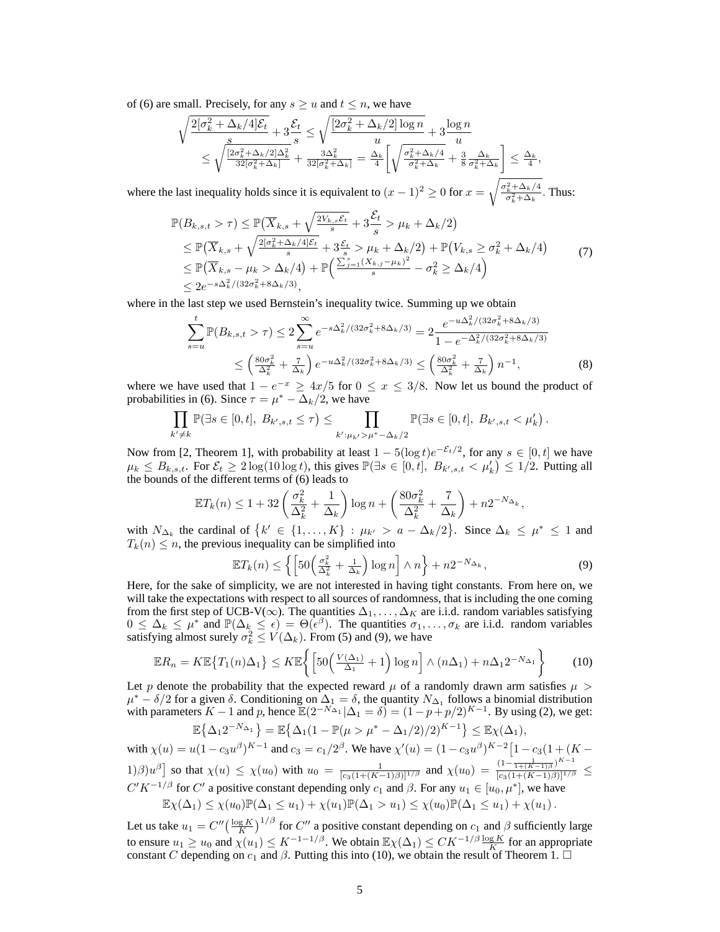of (6) are small. Precisely, for any  $s \ge u$  and  $t \le n$ , we have

$$
\sqrt{\frac{2[\sigma_k^2 + \Delta_k/4]\mathcal{E}_t}{s}} \le \sqrt{\frac{[2\sigma_k^2 + \Delta_k/2]\log n}{u}} + 3\frac{\log n}{u}
$$
  

$$
\le \sqrt{\frac{[2\sigma_k^2 + \Delta_k/2]\Delta_k^2}{32[\sigma_k^2 + \Delta_k]}} + \frac{3\Delta_k^2}{32[\sigma_k^2 + \Delta_k]} = \frac{\Delta_k}{4} \left[ \sqrt{\frac{\sigma_k^2 + \Delta_k/4}{\sigma_k^2 + \Delta_k}} + \frac{3}{8} \frac{\Delta_k}{\sigma_k^2 + \Delta_k} \right] \le \frac{\Delta_k}{4},
$$

where the last inequality holds since it is equivalent to  $(x-1)^2 \ge 0$  for  $x = \sqrt{\frac{\sigma_k^2 + \Delta_k/4}{\sigma_k^2 + \Delta_k}}$ . Thus:

$$
\mathbb{P}(B_{k,s,t} > \tau) \leq \mathbb{P}(\overline{X}_{k,s} + \sqrt{\frac{2V_{k,s}\mathcal{E}_t}{s}} + 3\frac{\mathcal{E}_t}{s} > \mu_k + \Delta_k/2)
$$
\n
$$
\leq \mathbb{P}(\overline{X}_{k,s} + \sqrt{\frac{2[\sigma_k^2 + \Delta_k/4]\mathcal{E}_t}{s}} + 3\frac{\mathcal{E}_t}{s} > \mu_k + \Delta_k/2) + \mathbb{P}(V_{k,s} \geq \sigma_k^2 + \Delta_k/4)
$$
\n
$$
\leq \mathbb{P}(\overline{X}_{k,s} - \mu_k > \Delta_k/4) + \mathbb{P}\left(\frac{\sum_{j=1}^s (X_{k,j} - \mu_k)^2}{s} - \sigma_k^2 \geq \Delta_k/4\right)
$$
\n
$$
\leq 2e^{-s\Delta_k^2/(32\sigma_k^2 + 8\Delta_k/3)},
$$
\n(7)

where in the last step we used Bernstein's inequality twice. Summing up we obtain

$$
\sum_{s=u}^{t} \mathbb{P}(B_{k,s,t} > \tau) \le 2 \sum_{s=u}^{\infty} e^{-s\Delta_k^2/(32\sigma_k^2 + 8\Delta_k/3)} = 2 \frac{e^{-u\Delta_k^2/(32\sigma_k^2 + 8\Delta_k/3)}}{1 - e^{-\Delta_k^2/(32\sigma_k^2 + 8\Delta_k/3)}}
$$
  

$$
\le \left(\frac{80\sigma_k^2}{\Delta_k^2} + \frac{\tau}{\Delta_k}\right) e^{-u\Delta_k^2/(32\sigma_k^2 + 8\Delta_k/3)} \le \left(\frac{80\sigma_k^2}{\Delta_k^2} + \frac{\tau}{\Delta_k}\right) n^{-1},
$$
 (8)

where we have used that  $1 - e^{-x} \ge 4x/5$  for  $0 \le x \le 3/8$ . Now let us bound the product of probabilities in (6). Since  $\tau = \mu^* - \Delta_k/2$ , we have

$$
\prod_{k' \neq k} \mathbb{P}(\exists s \in [0, t], B_{k', s, t} \leq \tau) \leq \prod_{k': \mu_{k'} > \mu^* - \Delta_k/2} \mathbb{P}(\exists s \in [0, t], B_{k', s, t} < \mu'_k).
$$

Now from [2, Theorem 1], with probability at least  $1 - 5(\log t)e^{-\mathcal{E}_t/2}$ , for any  $s \in [0, t]$  we have  $\mu_k \leq B_{k,s,t}$ . For  $\mathcal{E}_t \geq 2\log(10\log t)$ , this gives  $\mathbb{P}(\exists s \in [0,t], B_{k',s,t} < \mu'_k) \leq 1/2$ . Putting all the bounds of the different terms of (6) leads to

$$
\mathbb{E}T_k(n) \le 1 + 32\left(\frac{\sigma_k^2}{\Delta_k^2} + \frac{1}{\Delta_k}\right)\log n + \left(\frac{80\sigma_k^2}{\Delta_k^2} + \frac{7}{\Delta_k}\right) + n2^{-N_{\Delta_k}},
$$

with  $N_{\Delta_k}$  the cardinal of  $\{k' \in \{1, ..., K\} : \mu_{k'} > a - \Delta_k/2\}$ . Since  $\Delta_k \le \mu^* \le 1$  and  $T_k(n) \leq n$ , the previous inequality can be simplified into

$$
\mathbb{E}T_k(n) \le \left\{ \left[ 50 \left( \frac{\sigma_k^2}{\Delta_k^2} + \frac{1}{\Delta_k} \right) \log n \right] \wedge n \right\} + n2^{-N_{\Delta_k}},\tag{9}
$$

Here, for the sake of simplicity, we are not interested in having tight constants. From here on, we will take the expectations with respect to all sources of randomness, that is including the one coming from the first step of UCB-V( $\infty$ ). The quantities  $\Delta_1, \ldots, \Delta_K$  are i.i.d. random variables satisfying  $0 \leq \Delta_k \leq \mu^*$  and  $\mathbb{P}(\Delta_k \leq \epsilon) = \Theta(\epsilon^{\beta})$ . The quantities  $\sigma_1, \ldots, \sigma_k$  are i.i.d. random variables satisfying almost surely  $\sigma_k^2 \le V(\Delta_k)$ . From (5) and (9), we have

$$
\mathbb{E}R_n = K \mathbb{E}\left\{T_1(n)\Delta_1\right\} \leq K \mathbb{E}\left\{\left[50\left(\frac{V(\Delta_1)}{\Delta_1} + 1\right)\log n\right] \wedge (n\Delta_1) + n\Delta_1 2^{-N_{\Delta_1}}\right\} \tag{10}
$$

Let p denote the probability that the expected reward  $\mu$  of a randomly drawn arm satisfies  $\mu >$  $\mu^* - \delta/2$  for a given  $\delta$ . Conditioning on  $\Delta_1 = \delta$ , the quantity  $N_{\Delta_1}$  follows a binomial distribution with parameters  $K - 1$  and p, hence  $\mathbb{E}(2^{-N_{\Delta_1}}|\Delta_1 = \delta) = (1 - p + p/2)^{K-1}$ . By using (2), we get:

$$
\mathbb{E}\left\{\Delta_1 2^{-N_{\Delta_1}}\right\} = \mathbb{E}\left\{\Delta_1 (1 - \mathbb{P}(\mu > \mu^* - \Delta_1/2)/2)^{K-1}\right\} \le \mathbb{E}\chi(\Delta_1),
$$

with  $\chi(u) = u(1 - c_3 u^{\beta})^{K-1}$  and  $c_3 = c_1/2^{\beta}$ . We have  $\chi'(u) = (1 - c_3 u^{\beta})^{K-2} [1 - c_3 (1 + (K -$ 1)β)u<sup>β</sup>] so that  $\chi(u) \leq \chi(u_0)$  with  $u_0 = \frac{1}{[c_3(1 + (K-1)\beta)]^{1/\beta}}$  and  $\chi(u_0) = \frac{(1 - \frac{1}{1 + (K-1)\beta})^{K-1}}{[c_3(1 + (K-1)\beta)]^{1/\beta}}$  $\frac{1}{[c_3(1+(K-1)\beta)]^{1/\beta}} \leq$  $C'K^{-1/\beta}$  for  $C'$  a positive constant depending only  $c_1$  and  $\beta$ . For any  $u_1 \in [u_0, \mu^*]$ , we have

$$
\mathbb{E}\chi(\Delta_1) \leq \chi(u_0)\mathbb{P}(\Delta_1 \leq u_1) + \chi(u_1)\mathbb{P}(\Delta_1 > u_1) \leq \chi(u_0)\mathbb{P}(\Delta_1 \leq u_1) + \chi(u_1).
$$

Let us take  $u_1 = C'' \left(\frac{\log K}{K}\right)^{1/\beta}$  for  $C''$  a positive constant depending on  $c_1$  and  $\beta$  sufficiently large to ensure  $u_1 \geq u_0$  and  $\chi(u_1) \leq K^{-1-1/\beta}$ . We obtain  $\mathbb{E} \chi(\Delta_1) \leq CK^{-1/\beta} \frac{\log K}{K}$  for an appropriate constant C depending on  $c_1$  and  $\beta$ . Putting this into (10), we obtain the result of Theorem 1.  $\Box$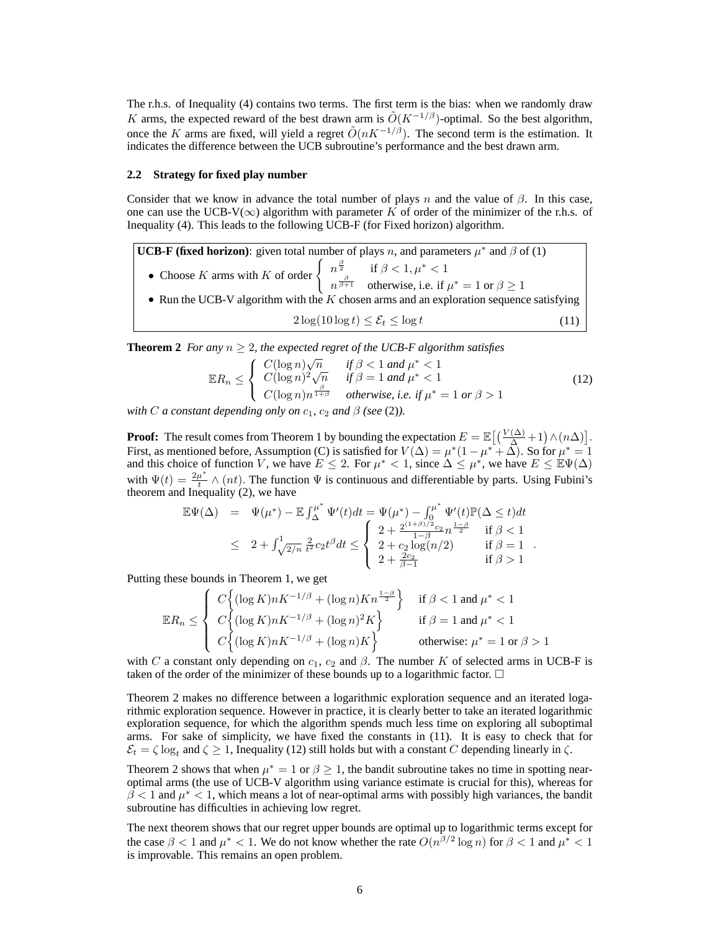The r.h.s. of Inequality (4) contains two terms. The first term is the bias: when we randomly draw K arms, the expected reward of the best drawn arm is  $\tilde{O}(K^{-1/\beta})$ -optimal. So the best algorithm, once the K arms are fixed, will yield a regret  $\tilde{O}(nK^{-1/\beta})$ . The second term is the estimation. It indicates the difference between the UCB subroutine's performance and the best drawn arm.

# **2.2 Strategy for fixed play number**

Consider that we know in advance the total number of plays n and the value of  $\beta$ . In this case, one can use the UCB-V( $\infty$ ) algorithm with parameter K of order of the minimizer of the r.h.s. of Inequality (4). This leads to the following UCB-F (for Fixed horizon) algorithm.

**UCB-F (fixed horizon)**: given total number of plays n, and parameters  $\mu^*$  and  $\beta$  of (1) • Choose K arms with K of order  $\begin{cases} n^{\frac{\beta}{2}} & \text{if } \beta < 1, \mu^* < 1 \\ n^{\frac{\beta}{\beta+1}} & \text{otherwise, i.e., if} \end{cases}$  $n^{\frac{\beta}{\beta+1}}$  otherwise, i.e. if  $\mu^* = 1$  or  $\beta \ge 1$ • Run the UCB-V algorithm with the  $K$  chosen arms and an exploration sequence satisfying

 $2\log(10\log t) \leq \mathcal{E}_t \leq \log t$  (11)

**Theorem 2** *For any*  $n > 2$ *, the expected regret of the UCB-F algorithm satisfies* 

$$
\mathbb{E}R_n \leq \begin{cases} C(\log n)\sqrt{n} & \text{if } \beta < 1 \text{ and } \mu^* < 1\\ C(\log n)^2 \sqrt{n} & \text{if } \beta = 1 \text{ and } \mu^* < 1\\ C(\log n)n^{\frac{\beta}{1+\beta}} & \text{otherwise, i.e. if } \mu^* = 1 \text{ or } \beta > 1 \end{cases} \tag{12}
$$

*with C a* constant depending only on  $c_1$ ,  $c_2$  *and*  $\beta$  *(see* (2)*)*.

**Proof:** The result comes from Theorem 1 by bounding the expectation  $E = \mathbb{E}\left[\left(\frac{V(\Delta)}{\Delta}+1\right) \wedge (n\Delta)\right]$ . First, as mentioned before, Assumption (C) is satisfied for  $V(\Delta) = \mu^*(1 - \mu^* + \Delta)$ . So for  $\mu^* = 1$ and this choice of function V, we have  $E \le 2$ . For  $\mu^* < 1$ , since  $\Delta \le \mu^*$ , we have  $E \le \mathbb{E}\Psi(\Delta)$ with  $\Psi(t) = \frac{2\mu^*}{t}$ with  $\Psi(t) = \frac{2\mu}{t} \wedge (nt)$ . The function  $\Psi$  is continuous and differentiable by parts. Using Fubini's theorem and Inequality (2), we have

$$
\mathbb{E}\Psi(\Delta) = \Psi(\mu^*) - \mathbb{E} \int_{\Delta}^{\mu^*} \Psi'(t)dt = \Psi(\mu^*) - \int_0^{\mu^*} \Psi'(t)\mathbb{P}(\Delta \le t)dt
$$
  
\n
$$
\leq 2 + \int_{\sqrt{2/n}}^1 \frac{2}{t^2} c_2 t^{\beta} dt \leq \begin{cases} 2 + \frac{2^{(1+\beta)/2} c_2}{1-\beta} n^{\frac{1-\beta}{2}} & \text{if } \beta < 1 \\ 2 + c_2 \log(n/2) & \text{if } \beta = 1 \\ 2 + \frac{2c_2}{\beta - 1} & \text{if } \beta > 1 \end{cases}.
$$

Putting these bounds in Theorem 1, we get

$$
\mathbb{E}R_n \leq \begin{cases} C \left\{ (\log K)nK^{-1/\beta} + (\log n)Kn^{\frac{1-\beta}{2}} \right\} & \text{if } \beta < 1 \text{ and } \mu^* < 1\\ C \left\{ (\log K)nK^{-1/\beta} + (\log n)^2 K \right\} & \text{if } \beta = 1 \text{ and } \mu^* < 1\\ C \left\{ (\log K)nK^{-1/\beta} + (\log n)K \right\} & \text{otherwise: } \mu^* = 1 \text{ or } \beta > 1 \end{cases}
$$

with C a constant only depending on  $c_1$ ,  $c_2$  and  $\beta$ . The number K of selected arms in UCB-F is taken of the order of the minimizer of these bounds up to a logarithmic factor.  $\Box$ 

Theorem 2 makes no difference between a logarithmic exploration sequence and an iterated logarithmic exploration sequence. However in practice, it is clearly better to take an iterated logarithmic exploration sequence, for which the algorithm spends much less time on exploring all suboptimal arms. For sake of simplicity, we have fixed the constants in (11). It is easy to check that for  $\mathcal{E}_t = \zeta \log_t$  and  $\zeta \ge 1$ , Inequality (12) still holds but with a constant C depending linearly in  $\zeta$ .

Theorem 2 shows that when  $\mu^* = 1$  or  $\beta \ge 1$ , the bandit subroutine takes no time in spotting nearoptimal arms (the use of UCB-V algorithm using variance estimate is crucial for this), whereas for  $\beta$  < 1 and  $\mu^*$  < 1, which means a lot of near-optimal arms with possibly high variances, the bandit subroutine has difficulties in achieving low regret.

The next theorem shows that our regret upper bounds are optimal up to logarithmic terms except for the case  $\beta < 1$  and  $\mu^* < 1$ . We do not know whether the rate  $O(n^{\beta/2} \log n)$  for  $\beta < 1$  and  $\mu^* < 1$ is improvable. This remains an open problem.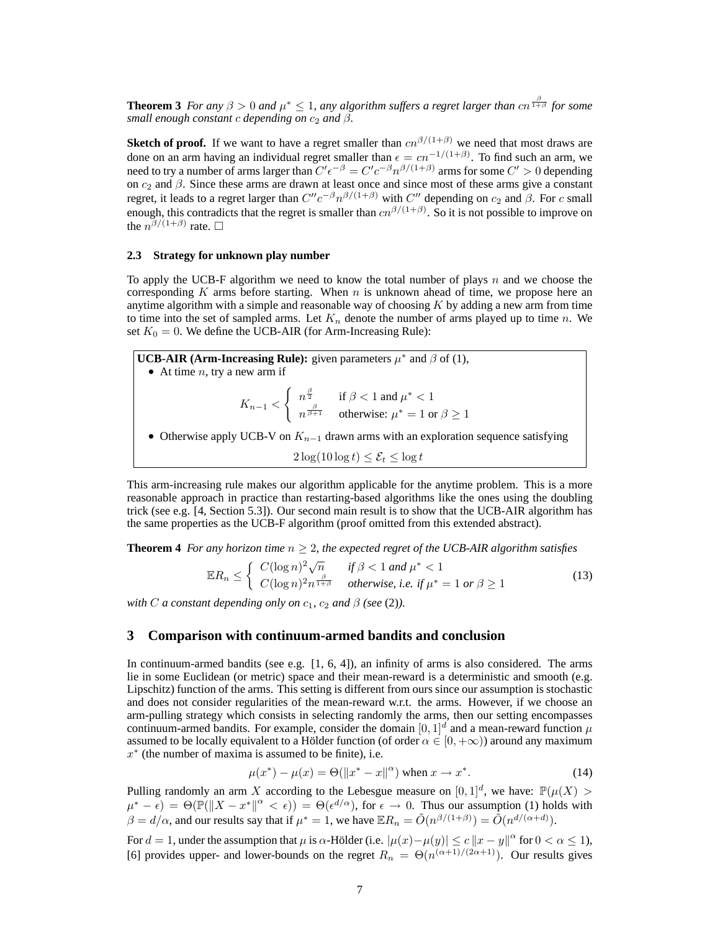**Theorem 3** *For any*  $\beta > 0$  *and*  $\mu^* \le 1$ *, any algorithm suffers a regret larger than cn*  $\frac{\beta}{1+\beta}$  *for some small enough constant c depending on*  $c_2$  *and*  $\beta$ *.* 

**Sketch of proof.** If we want to have a regret smaller than  $cn^{\beta/(1+\beta)}$  we need that most draws are done on an arm having an individual regret smaller than  $\epsilon = cn^{-1/(1+\beta)}$ . To find such an arm, we need to try a number of arms larger than  $C'\epsilon^{-\beta} = C'c^{-\beta}n^{\beta/(1+\beta)}$  arms for some  $C' > 0$  depending on  $c_2$  and  $\beta$ . Since these arms are drawn at least once and since most of these arms give a constant regret, it leads to a regret larger than  $C''c^{-\beta}n^{\beta/(1+\beta)}$  with  $C''$  depending on  $c_2$  and  $\beta$ . For c small enough, this contradicts that the regret is smaller than  $cn^{\beta/(1+\beta)}$ . So it is not possible to improve on the  $n^{\beta/(1+\beta)}$  rate.  $\Box$ 

# **2.3 Strategy for unknown play number**

To apply the UCB-F algorithm we need to know the total number of plays n and we choose the corresponding K arms before starting. When  $n$  is unknown ahead of time, we propose here an anytime algorithm with a simple and reasonable way of choosing  $K$  by adding a new arm from time to time into the set of sampled arms. Let  $K_n$  denote the number of arms played up to time n. We set  $K_0 = 0$ . We define the UCB-AIR (for Arm-Increasing Rule):

**UCB-AIR (Arm-Increasing Rule):** given parameters  $\mu^*$  and  $\beta$  of (1), • At time  $n$ , try a new arm if  $K_{n-1}$  <  $\int n^{\frac{\beta}{2}}$  if  $\beta < 1$  and  $\mu^* < 1$  $n^{\frac{\beta}{\beta+1}}$  otherwise:  $\mu^* = 1$  or  $\beta \ge 1$ • Otherwise apply UCB-V on  $K_{n-1}$  drawn arms with an exploration sequence satisfying  $2\log(10\log t) \leq \mathcal{E}_t \leq \log t$ 

This arm-increasing rule makes our algorithm applicable for the anytime problem. This is a more reasonable approach in practice than restarting-based algorithms like the ones using the doubling trick (see e.g. [4, Section 5.3]). Our second main result is to show that the UCB-AIR algorithm has the same properties as the UCB-F algorithm (proof omitted from this extended abstract).

**Theorem 4** *For any horizon time*  $n \geq 2$ *, the expected regret of the UCB-AIR algorithm satisfies* 

$$
\mathbb{E}R_n \leq \begin{cases} C(\log n)^2 \sqrt{n} & \text{if } \beta < 1 \text{ and } \mu^* < 1\\ C(\log n)^2 n^{\frac{\beta}{1+\beta}} & \text{otherwise, i.e. if } \mu^* = 1 \text{ or } \beta \geq 1 \end{cases} \tag{13}
$$

*with C a* constant depending only on  $c_1$ ,  $c_2$  *and*  $\beta$  *(see* (2)*)*.

# **3 Comparison with continuum-armed bandits and conclusion**

In continuum-armed bandits (see e.g.  $[1, 6, 4]$ ), an infinity of arms is also considered. The arms lie in some Euclidean (or metric) space and their mean-reward is a deterministic and smooth (e.g. Lipschitz) function of the arms. This setting is different from ours since our assumption is stochastic and does not consider regularities of the mean-reward w.r.t. the arms. However, if we choose an arm-pulling strategy which consists in selecting randomly the arms, then our setting encompasses continuum-armed bandits. For example, consider the domain  $[0,1]^d$  and a mean-reward function  $\mu$ assumed to be locally equivalent to a Hölder function (of order  $\alpha \in [0, +\infty)$ ) around any maximum  $x^*$  (the number of maxima is assumed to be finite), i.e.

$$
\mu(x^*) - \mu(x) = \Theta(||x^* - x||^{\alpha}) \text{ when } x \to x^*.
$$
 (14)

Pulling randomly an arm X according to the Lebesgue measure on  $[0,1]^d$ , we have:  $\mathbb{P}(\mu(X) >$  $(\mu^* - \epsilon) = \Theta(\mathbb{P}(\|X - x^*\|^{\alpha} < \epsilon)) = \Theta(\epsilon^{d/\alpha})$ , for  $\epsilon \to 0$ . Thus our assumption (1) holds with  $\beta = d/\alpha$ , and our results say that if  $\mu^* = 1$ , we have  $\mathbb{E}R_n = \tilde{O}(n^{\beta/(1+\beta)}) = \tilde{O}(n^{d/(\alpha+d)})$ .

For  $d = 1$ , under the assumption that  $\mu$  is  $\alpha$ -Hölder (i.e.  $|\mu(x) - \mu(y)| \le c ||x - y||^{\alpha}$  for  $0 < \alpha \le 1$ ), [6] provides upper- and lower-bounds on the regret  $R_n = \Theta(n^{(\alpha+1)/(2\alpha+1)})$ . Our results gives